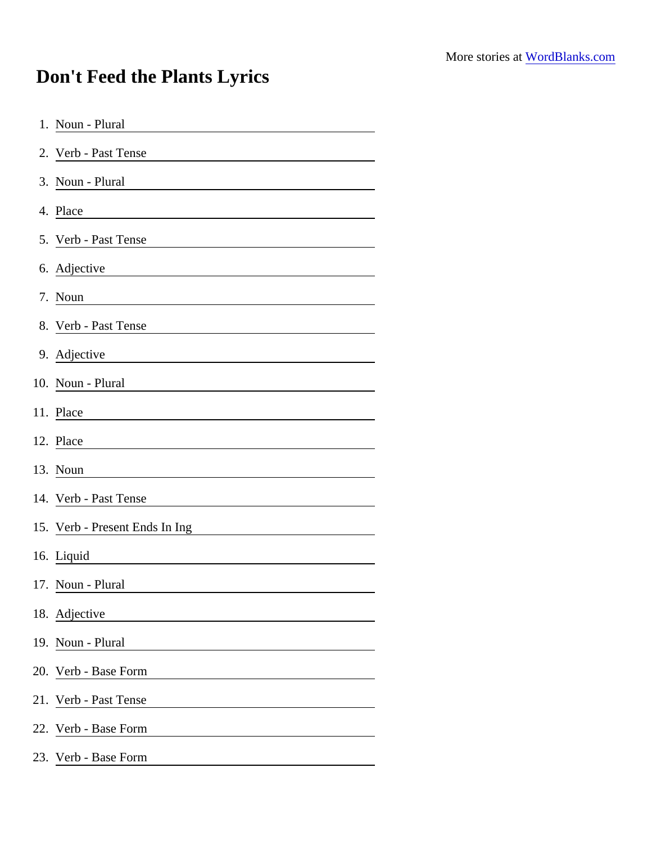## Don't Feed the Plants Lyrics

| 1. Noun - Plural                                                                                                                              |  |
|-----------------------------------------------------------------------------------------------------------------------------------------------|--|
| 2. Verb - Past Tense                                                                                                                          |  |
| 3. Noun - Plural<br><u> 1980 - Johann Barn, mars ann an t-Amhain Aonaich an t-Aonaich an t-Aonaich ann an t-Aonaich ann an t-Aonaich</u>      |  |
| 4. Place<br><u> 1980 - Johann Barn, mars ann an t-Amhain Aonaich an t-Aonaich an t-Aonaich ann an t-Aonaich ann an t-Aonaich</u>              |  |
| 5. Verb - Past Tense                                                                                                                          |  |
| 6. Adjective                                                                                                                                  |  |
| 7. Noun                                                                                                                                       |  |
| 8. Verb - Past Tense                                                                                                                          |  |
| 9. Adjective<br><u> 1980 - Jan Stein Stein Stein Stein Stein Stein Stein Stein Stein Stein Stein Stein Stein Stein Stein Stein S</u>          |  |
| 10. Noun - Plural                                                                                                                             |  |
| 11. Place                                                                                                                                     |  |
| 12. Place                                                                                                                                     |  |
| 13. Noun                                                                                                                                      |  |
| 14. Verb - Past Tense<br><u> 1980 - Johann Barn, mars ann an t-Amhain Aonaich an t-Aonaich an t-Aonaich ann an t-Aonaich ann an t-Aonaich</u> |  |
| 15. Verb - Present Ends In Ing                                                                                                                |  |
| 16. Liquid                                                                                                                                    |  |
| 17. Noun - Plural                                                                                                                             |  |
| 18. Adjective                                                                                                                                 |  |
| 19. Noun - Plural                                                                                                                             |  |
| 20. Verb - Base Form                                                                                                                          |  |
| 21. Verb - Past Tense                                                                                                                         |  |
| 22. Verb - Base Form                                                                                                                          |  |
| 23. Verb - Base Form                                                                                                                          |  |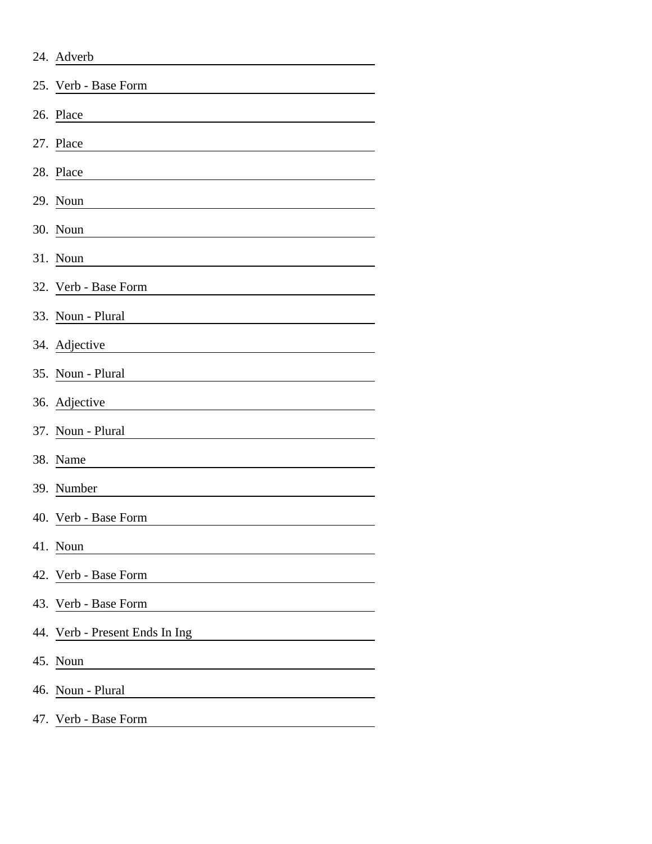| 24. Adverb                     |
|--------------------------------|
| 25. Verb - Base Form           |
| 26. Place                      |
| 27. Place                      |
| 28. Place                      |
| 29. Noun                       |
| 30. Noun                       |
| 31. Noun                       |
| 32. Verb - Base Form           |
| 33. Noun - Plural              |
| 34. Adjective                  |
| 35. Noun - Plural              |
| 36. Adjective                  |
| 37. Noun - Plural              |
| 38. Name                       |
| 39. Number                     |
| 40. Verb - Base Form           |
| 41. Noun                       |
| 42. Verb - Base Form           |
| 43. Verb - Base Form           |
| 44. Verb - Present Ends In Ing |
| 45. Noun                       |
| 46. Noun - Plural              |
| 47. Verb - Base Form           |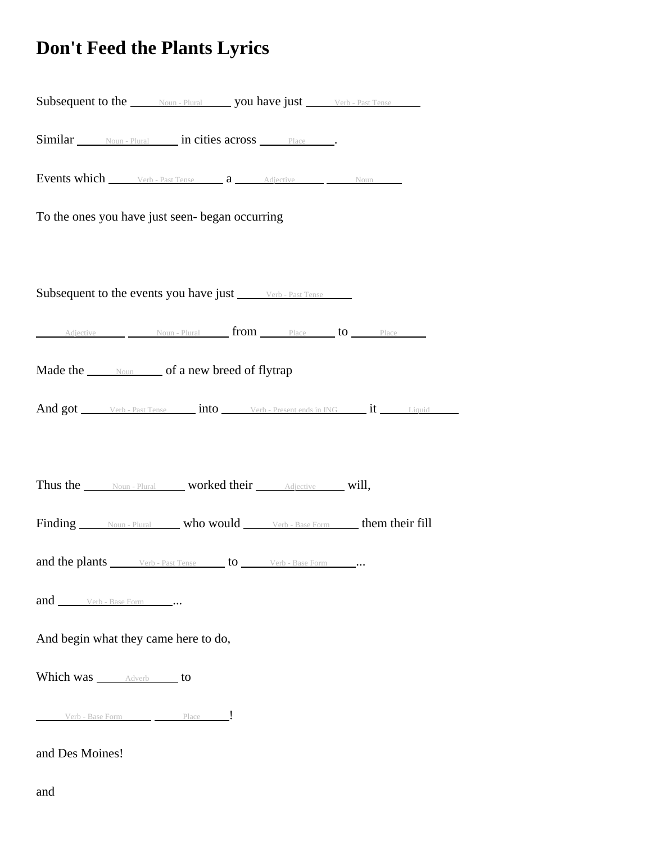## **Don't Feed the Plants Lyrics**

| <b>Subsequent to the Moun-Plural you have just</b> Verb-Past Tense                                                   |  |
|----------------------------------------------------------------------------------------------------------------------|--|
| Similar Noun-Plural in cities across Place .                                                                         |  |
| <b>Events which</b> Verb - Past Tense <b>a</b> Adjective Moun Noun                                                   |  |
| To the ones you have just seen- began occurring                                                                      |  |
|                                                                                                                      |  |
| Subsequent to the events you have just Verb - Past Tense                                                             |  |
| Adjective Moun-Plural from Place to Place                                                                            |  |
| Made the <u>soun</u> of a new breed of flytrap                                                                       |  |
| And got Verb - Past Tense into Verb - Present ends in ING it Liquid                                                  |  |
|                                                                                                                      |  |
| Thus the Noun-Plural worked their Adjective will,                                                                    |  |
| Finding Noun-Plural who would Verb-Base Form their fill                                                              |  |
| <b>and the plants</b> $\qquad$ Verb - Past Tense $\qquad$ <b>to</b> $\qquad$ Verb - Base Form $\qquad \qquad \ldots$ |  |
| and Verb - Base Form                                                                                                 |  |
| And begin what they came here to do,                                                                                 |  |
| Which was ______________________ to                                                                                  |  |
| Verb - Base Form Place                                                                                               |  |
| and Des Moines!                                                                                                      |  |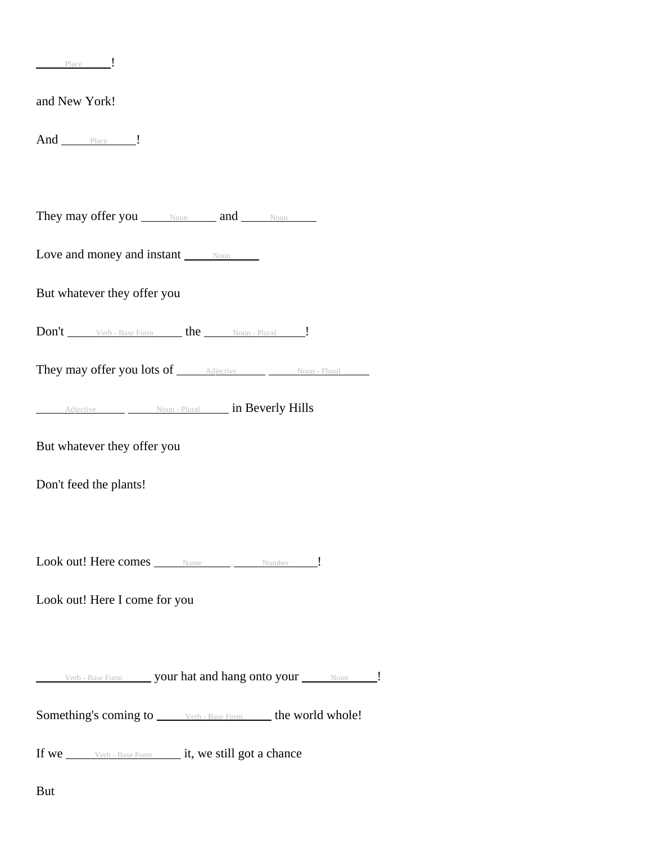| Place                                                                     |
|---------------------------------------------------------------------------|
| and New York!                                                             |
| And Place                                                                 |
|                                                                           |
| They may offer you Noun and Noun                                          |
| Love and money and instant $\frac{N_{\text{OUB}}}{N_{\text{OUB}}}$        |
| But whatever they offer you                                               |
|                                                                           |
| They may offer you lots of <u>Adjective Moun - Plural</u>                 |
| Adjective Moun-Plural in Beverly Hills                                    |
| But whatever they offer you                                               |
| Don't feed the plants!                                                    |
|                                                                           |
| Look out! Here comes _____ Name _____ _____ Number _____!                 |
| Look out! Here I come for you                                             |
|                                                                           |
| Verb - Base Form _______ your hat and hang onto your ______ Noun ______ ! |
| Something's coming to <i>verb</i> - Base Form <b>here</b> world whole!    |
| If we ______ Verb - Base Form _______ it, we still got a chance           |

But